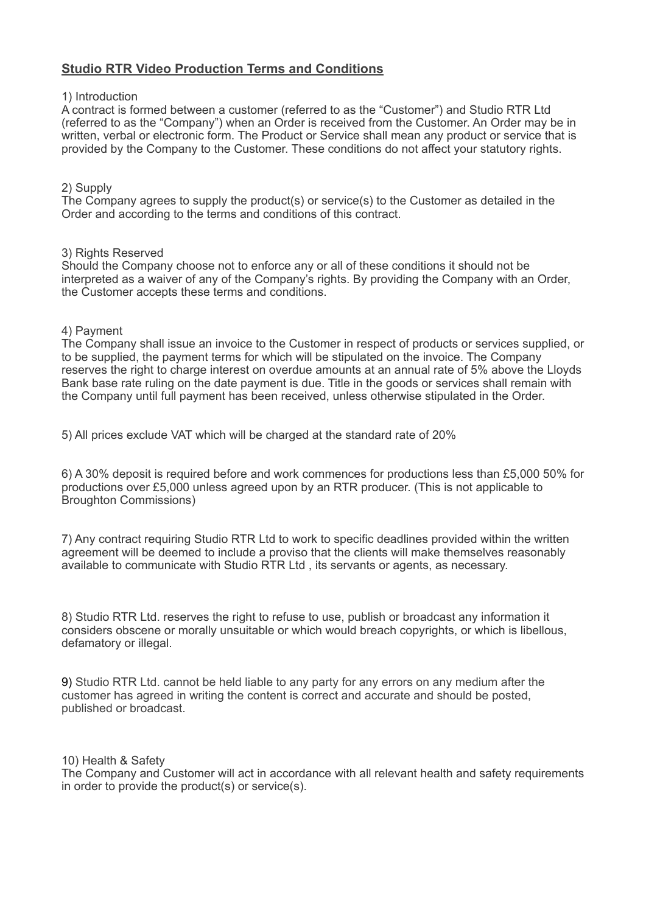# **Studio RTR Video Production Terms and Conditions**

# 1) Introduction

A contract is formed between a customer (referred to as the "Customer") and Studio RTR Ltd (referred to as the "Company") when an Order is received from the Customer. An Order may be in written, verbal or electronic form. The Product or Service shall mean any product or service that is provided by the Company to the Customer. These conditions do not affect your statutory rights.

# 2) Supply

The Company agrees to supply the product(s) or service(s) to the Customer as detailed in the Order and according to the terms and conditions of this contract.

# 3) Rights Reserved

Should the Company choose not to enforce any or all of these conditions it should not be interpreted as a waiver of any of the Company's rights. By providing the Company with an Order, the Customer accepts these terms and conditions.

### 4) Payment

The Company shall issue an invoice to the Customer in respect of products or services supplied, or to be supplied, the payment terms for which will be stipulated on the invoice. The Company reserves the right to charge interest on overdue amounts at an annual rate of 5% above the Lloyds Bank base rate ruling on the date payment is due. Title in the goods or services shall remain with the Company until full payment has been received, unless otherwise stipulated in the Order.

5) All prices exclude VAT which will be charged at the standard rate of 20%

6) A 30% deposit is required before and work commences for productions less than £5,000 50% for productions over £5,000 unless agreed upon by an RTR producer. (This is not applicable to Broughton Commissions)

7) Any contract requiring Studio RTR Ltd to work to specific deadlines provided within the written agreement will be deemed to include a proviso that the clients will make themselves reasonably available to communicate with Studio RTR Ltd , its servants or agents, as necessary.

8) Studio RTR Ltd. reserves the right to refuse to use, publish or broadcast any information it considers obscene or morally unsuitable or which would breach copyrights, or which is libellous, defamatory or illegal.

9) Studio RTR Ltd. cannot be held liable to any party for any errors on any medium after the customer has agreed in writing the content is correct and accurate and should be posted, published or broadcast.

10) Health & Safety

The Company and Customer will act in accordance with all relevant health and safety requirements in order to provide the product(s) or service(s).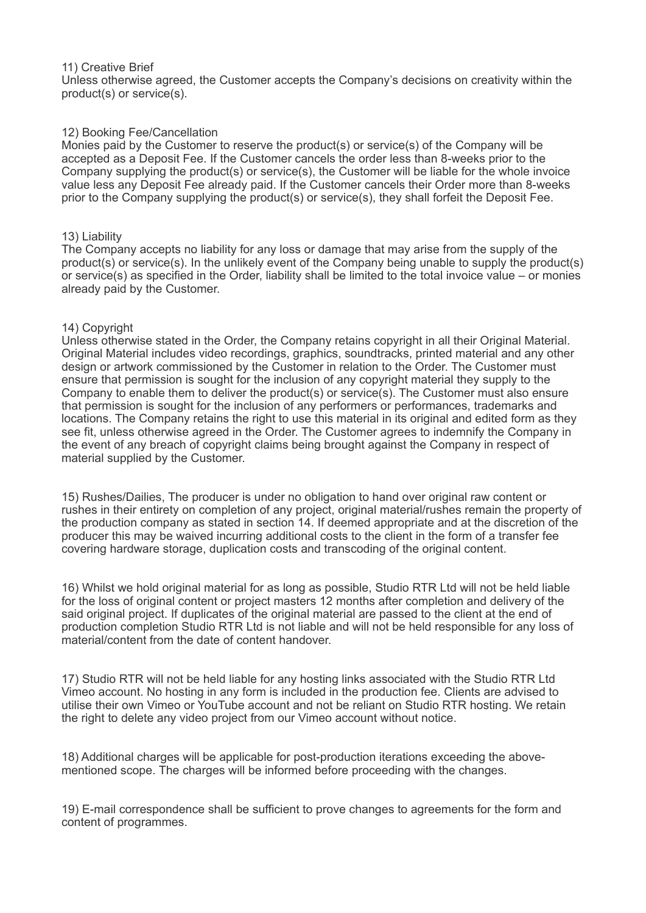#### 11) Creative Brief

Unless otherwise agreed, the Customer accepts the Company's decisions on creativity within the product(s) or service(s).

### 12) Booking Fee/Cancellation

Monies paid by the Customer to reserve the product(s) or service(s) of the Company will be accepted as a Deposit Fee. If the Customer cancels the order less than 8-weeks prior to the Company supplying the product(s) or service(s), the Customer will be liable for the whole invoice value less any Deposit Fee already paid. If the Customer cancels their Order more than 8-weeks prior to the Company supplying the product(s) or service(s), they shall forfeit the Deposit Fee.

#### 13) Liability

The Company accepts no liability for any loss or damage that may arise from the supply of the product(s) or service(s). In the unlikely event of the Company being unable to supply the product(s) or service(s) as specified in the Order, liability shall be limited to the total invoice value – or monies already paid by the Customer.

#### 14) Copyright

Unless otherwise stated in the Order, the Company retains copyright in all their Original Material. Original Material includes video recordings, graphics, soundtracks, printed material and any other design or artwork commissioned by the Customer in relation to the Order. The Customer must ensure that permission is sought for the inclusion of any copyright material they supply to the Company to enable them to deliver the product(s) or service(s). The Customer must also ensure that permission is sought for the inclusion of any performers or performances, trademarks and locations. The Company retains the right to use this material in its original and edited form as they see fit, unless otherwise agreed in the Order. The Customer agrees to indemnify the Company in the event of any breach of copyright claims being brought against the Company in respect of material supplied by the Customer.

15) Rushes/Dailies, The producer is under no obligation to hand over original raw content or rushes in their entirety on completion of any project, original material/rushes remain the property of the production company as stated in section 14. If deemed appropriate and at the discretion of the producer this may be waived incurring additional costs to the client in the form of a transfer fee covering hardware storage, duplication costs and transcoding of the original content.

16) Whilst we hold original material for as long as possible, Studio RTR Ltd will not be held liable for the loss of original content or project masters 12 months after completion and delivery of the said original project. If duplicates of the original material are passed to the client at the end of production completion Studio RTR Ltd is not liable and will not be held responsible for any loss of material/content from the date of content handover.

17) Studio RTR will not be held liable for any hosting links associated with the Studio RTR Ltd Vimeo account. No hosting in any form is included in the production fee. Clients are advised to utilise their own Vimeo or YouTube account and not be reliant on Studio RTR hosting. We retain the right to delete any video project from our Vimeo account without notice.

18) Additional charges will be applicable for post-production iterations exceeding the abovementioned scope. The charges will be informed before proceeding with the changes.

19) E-mail correspondence shall be sufficient to prove changes to agreements for the form and content of programmes.